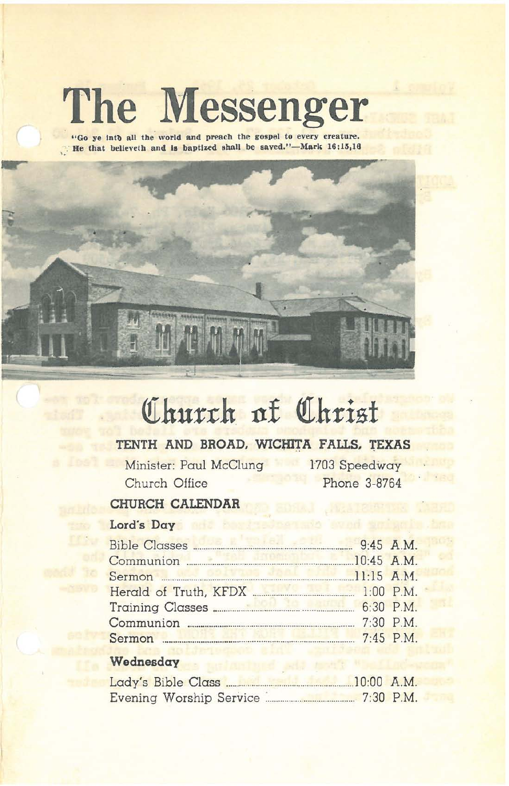# The Messenger

"Go ye into all the world and preach the gospel to every creature.<br>If the that believeth and is baptized shall be saved."—Mark 16:15,16



# Church of Christ

# TENTH AND BROAD, WICHITA FALLS, TEXAS

Minister: Paul McClung Church Office

1703 Speedway Phone 3-8764

# CHURCH CALENDAR

### Lord's Day

| 9:45 A.M.<br>Bible Classes         |           |
|------------------------------------|-----------|
| Communion 20:45 A.M.               |           |
| Sermon 11:15 A.M.                  |           |
| Herald of Truth, KFDX<br>1:00 P.M. |           |
|                                    |           |
|                                    |           |
|                                    | 7:45 P.M. |
|                                    |           |

## Wednesday

| Lady's Bible Class      | $10:00$ A.M. |             |
|-------------------------|--------------|-------------|
| Evening Worship Service |              | $7:30$ P.M. |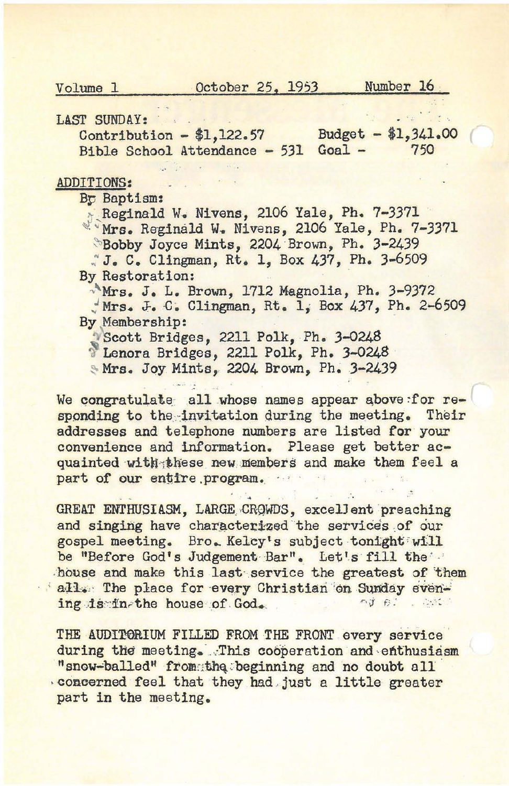October 25, 1953

Number 16

Volume 1

LAST SUNDAY:

Budget  $- $1,341.00$ Contribution  $- $1,122.57$ Bible School Attendance - 531 Goal -750

#### **ADDITIONS:**

By Baptism:

Reginald W. Nivens, 2106 Yale, Ph. 7-3371 Mrs. Reginald W. Nivens, 2106 Yale, Ph. 7-3371 Bobby Joyce Mints, 2204 Brown, Ph. 3-2439

J. C. Clingman, Rt. 1, Box 437, Ph. 3-6509 By Restoration:

Mrs. J. L. Brown, 1712 Magnolia, Ph. 3-9372 Mrs. J. C. Clingman, Rt. 1, Box 437, Ph. 2-6509 By Membership:

Scott Bridges, 2211 Polk, Ph. 3-0248

<sup>8</sup> Lenora Bridges, 2211 Polk, Ph. 3-0248

Mrs. Joy Mints, 2204 Brown, Ph. 3-2439

We congratulate all whose names appear above:for responding to the invitation during the meeting. Their addresses and telephone numbers are listed for your convenience and information. Please get better acquainted with these new members and make them feel a part of our entire program.

GREAT ENTHUSIASM, LARGE CROWDS, excellent preaching and singing have characterized the services of our gospel meeting. Bro. Kelcy's subject tonight will be "Before God's Judgement Bar". Let's fill the house and make this last service the greatest of them all. The place for every Christian on Sunday evening is in the house of God. nd 61 . Chi

THE AUDITORIUM FILLED FROM THE FRONT every service during the meeting. This cooperation and enthusiasm "snow-balled" from the beginning and no doubt all concerned feel that they had just a little greater part in the meeting.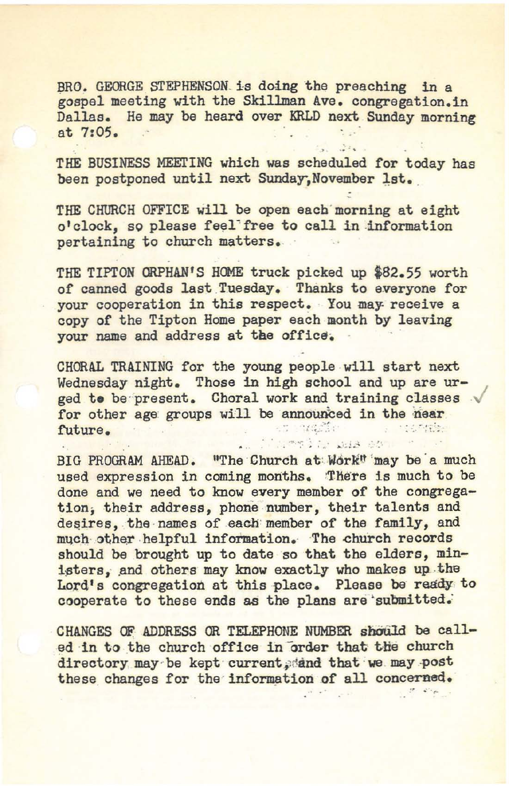BRO. GEORGE STEPHENSON, is doing the preaching in a gospel meeting with the Skillman Ave. congregation.in Dallas. He may be heard over KRLD next Sunday morning BRO. GEORGE STEPHENSON is doing the pressured meeting with the Skillman Ave. contains. He may be heard over KRLD next at 7:05.

THE BUSINESS MEETING which was scheduled for today has been postponed until next Sunday, November 1st.

THE CHURCH OFFICE will be open each morning at eight o'clock, so please feel'free to call in information pertaining to church matters.

THE TIPTON ORPHAN'S HOME truck picked up \$82.55 worth of canned goods last Tuesday. Thanks to everyone for your cooperation in this respect. You may receive a copy of the Tipton Home paper each month by leaving vour name and address at the office.

CHORAL TRAINING for the young people will start next Wednesday night. Those in high school and up are urged to be present. Choral work and training classes for other age groups will be announced in the near future.

 $\ddot{\cdot}$  :

BIG PROGRAM AHEAD. "The Church at: Work" may be a much used expression in coming months. There is much to be done and we need to know every member of the congregation; their address, phone number, their talents and desires, the names of each member of the family, and much other helpful information. The church records should be brought up to date so that the elders, ministers, and others may know exactly who makes up the Lord's congregation at this place. Please be ready to cooperate to these ends as the plans are submitted.

CHANGES OF ADDRESS OR TELEPHONE NUMBER should be called in to the church office in order that the church directory may be kept current dand that we may post these changes for the information of all concerned.